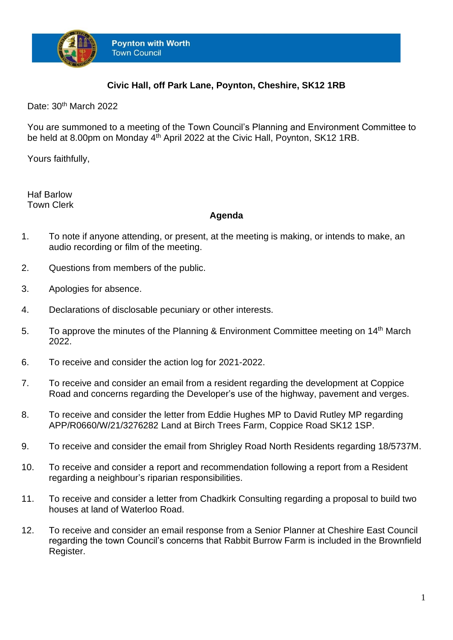

## **Civic Hall, off Park Lane, Poynton, Cheshire, SK12 1RB**

Date: 30<sup>th</sup> March 2022

You are summoned to a meeting of the Town Council's Planning and Environment Committee to be held at 8.00pm on Monday 4<sup>th</sup> April 2022 at the Civic Hall, Poynton, SK12 1RB.

Yours faithfully,

Haf Barlow Town Clerk

## **Agenda**

- 1. To note if anyone attending, or present, at the meeting is making, or intends to make, an audio recording or film of the meeting.
- 2. Questions from members of the public.
- 3. Apologies for absence.
- 4. Declarations of disclosable pecuniary or other interests.
- 5. To approve the minutes of the Planning & Environment Committee meeting on 14<sup>th</sup> March 2022.
- 6. To receive and consider the action log for 2021-2022.
- 7. To receive and consider an email from a resident regarding the development at Coppice Road and concerns regarding the Developer's use of the highway, pavement and verges.
- 8. To receive and consider the letter from Eddie Hughes MP to David Rutley MP regarding APP/R0660/W/21/3276282 Land at Birch Trees Farm, Coppice Road SK12 1SP.
- 9. To receive and consider the email from Shrigley Road North Residents regarding 18/5737M.
- 10. To receive and consider a report and recommendation following a report from a Resident regarding a neighbour's riparian responsibilities.
- 11. To receive and consider a letter from Chadkirk Consulting regarding a proposal to build two houses at land of Waterloo Road.
- 12. To receive and consider an email response from a Senior Planner at Cheshire East Council regarding the town Council's concerns that Rabbit Burrow Farm is included in the Brownfield Register.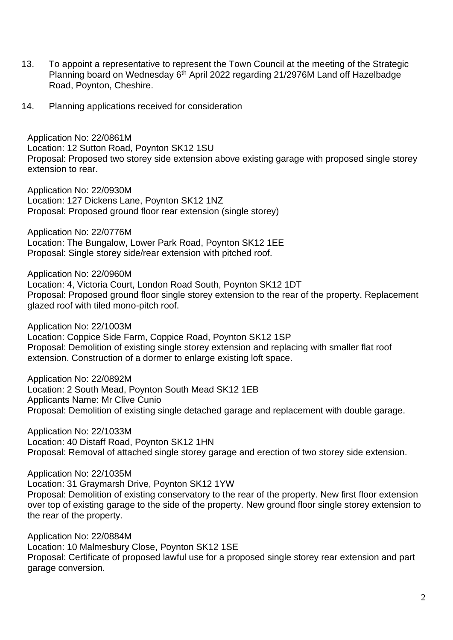- 13. To appoint a representative to represent the Town Council at the meeting of the Strategic Planning board on Wednesday 6<sup>th</sup> April 2022 regarding 21/2976M Land off Hazelbadge Road, Poynton, Cheshire.
- 14. Planning applications received for consideration

Application No: 22/0861M Location: 12 Sutton Road, Poynton SK12 1SU Proposal: Proposed two storey side extension above existing garage with proposed single storey extension to rear.

Application No: 22/0930M Location: 127 Dickens Lane, Poynton SK12 1NZ Proposal: Proposed ground floor rear extension (single storey)

Application No: 22/0776M Location: The Bungalow, Lower Park Road, Poynton SK12 1EE Proposal: Single storey side/rear extension with pitched roof.

Application No: 22/0960M

Location: 4, Victoria Court, London Road South, Poynton SK12 1DT Proposal: Proposed ground floor single storey extension to the rear of the property. Replacement glazed roof with tiled mono-pitch roof.

Application No: 22/1003M

Location: Coppice Side Farm, Coppice Road, Poynton SK12 1SP Proposal: Demolition of existing single storey extension and replacing with smaller flat roof extension. Construction of a dormer to enlarge existing loft space.

Application No: 22/0892M Location: 2 South Mead, Poynton South Mead SK12 1EB Applicants Name: Mr Clive Cunio Proposal: Demolition of existing single detached garage and replacement with double garage.

Application No: 22/1033M Location: 40 Distaff Road, Poynton SK12 1HN Proposal: Removal of attached single storey garage and erection of two storey side extension.

Application No: 22/1035M Location: 31 Graymarsh Drive, Poynton SK12 1YW Proposal: Demolition of existing conservatory to the rear of the property. New first floor extension over top of existing garage to the side of the property. New ground floor single storey extension to the rear of the property.

Application No: 22/0884M Location: 10 Malmesbury Close, Poynton SK12 1SE Proposal: Certificate of proposed lawful use for a proposed single storey rear extension and part garage conversion.